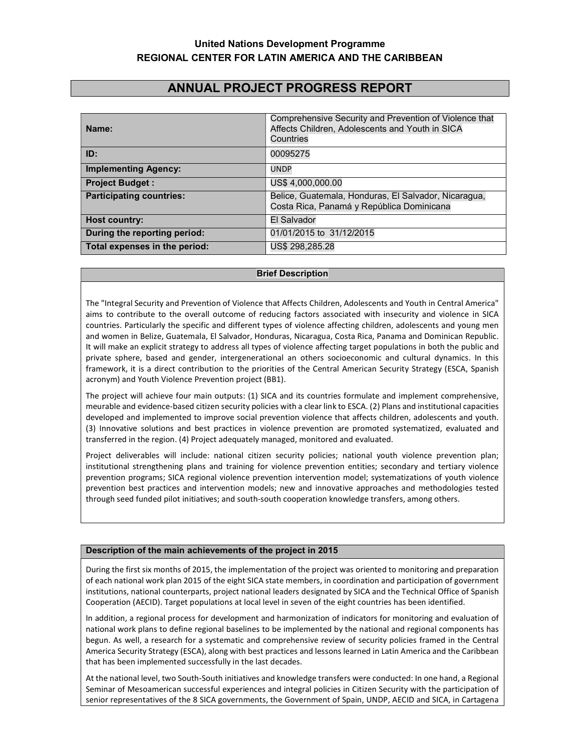# United Nations Development Programme REGIONAL CENTER FOR LATIN AMERICA AND THE CARIBBEAN

# ANNUAL PROJECT PROGRESS REPORT

| Name:                           | Comprehensive Security and Prevention of Violence that<br>Affects Children, Adolescents and Youth in SICA<br>Countries |  |
|---------------------------------|------------------------------------------------------------------------------------------------------------------------|--|
| ID:                             | 00095275                                                                                                               |  |
| <b>Implementing Agency:</b>     | <b>UNDP</b>                                                                                                            |  |
| <b>Project Budget:</b>          | US\$4,000,000.00                                                                                                       |  |
| <b>Participating countries:</b> | Belice, Guatemala, Honduras, El Salvador, Nicaragua,<br>Costa Rica, Panamá y República Dominicana                      |  |
| <b>Host country:</b>            | El Salvador                                                                                                            |  |
| During the reporting period:    | 01/01/2015 to 31/12/2015                                                                                               |  |
| Total expenses in the period:   | US\$ 298,285.28                                                                                                        |  |

#### Brief Description

The "Integral Security and Prevention of Violence that Affects Children, Adolescents and Youth in Central America" aims to contribute to the overall outcome of reducing factors associated with insecurity and violence in SICA countries. Particularly the specific and different types of violence affecting children, adolescents and young men and women in Belize, Guatemala, El Salvador, Honduras, Nicaragua, Costa Rica, Panama and Dominican Republic. It will make an explicit strategy to address all types of violence affecting target populations in both the public and private sphere, based and gender, intergenerational an others socioeconomic and cultural dynamics. In this framework, it is a direct contribution to the priorities of the Central American Security Strategy (ESCA, Spanish acronym) and Youth Violence Prevention project (BB1).

The project will achieve four main outputs: (1) SICA and its countries formulate and implement comprehensive, meurable and evidence-based citizen security policies with a clear link to ESCA. (2) Plans and institutional capacities developed and implemented to improve social prevention violence that affects children, adolescents and youth. (3) Innovative solutions and best practices in violence prevention are promoted systematized, evaluated and transferred in the region. (4) Project adequately managed, monitored and evaluated.

Project deliverables will include: national citizen security policies; national youth violence prevention plan; institutional strengthening plans and training for violence prevention entities; secondary and tertiary violence prevention programs; SICA regional violence prevention intervention model; systematizations of youth violence prevention best practices and intervention models; new and innovative approaches and methodologies tested through seed funded pilot initiatives; and south-south cooperation knowledge transfers, among others.

## Description of the main achievements of the project in 2015

During the first six months of 2015, the implementation of the project was oriented to monitoring and preparation of each national work plan 2015 of the eight SICA state members, in coordination and participation of government institutions, national counterparts, project national leaders designated by SICA and the Technical Office of Spanish Cooperation (AECID). Target populations at local level in seven of the eight countries has been identified.

In addition, a regional process for development and harmonization of indicators for monitoring and evaluation of national work plans to define regional baselines to be implemented by the national and regional components has begun. As well, a research for a systematic and comprehensive review of security policies framed in the Central America Security Strategy (ESCA), along with best practices and lessons learned in Latin America and the Caribbean that has been implemented successfully in the last decades.

At the national level, two South-South initiatives and knowledge transfers were conducted: In one hand, a Regional Seminar of Mesoamerican successful experiences and integral policies in Citizen Security with the participation of senior representatives of the 8 SICA governments, the Government of Spain, UNDP, AECID and SICA, in Cartagena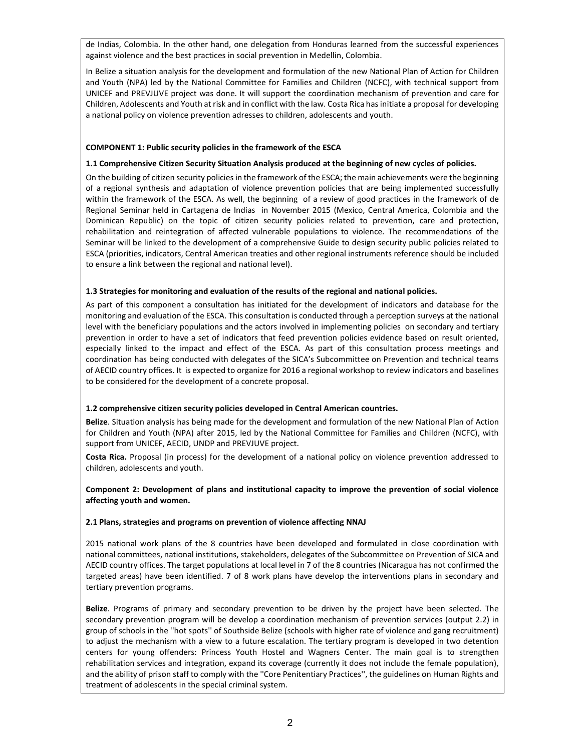de Indias, Colombia. In the other hand, one delegation from Honduras learned from the successful experiences against violence and the best practices in social prevention in Medellin, Colombia.

In Belize a situation analysis for the development and formulation of the new National Plan of Action for Children and Youth (NPA) led by the National Committee for Families and Children (NCFC), with technical support from UNICEF and PREVJUVE project was done. It will support the coordination mechanism of prevention and care for Children, Adolescents and Youth at risk and in conflict with the law. Costa Rica has initiate a proposal for developing a national policy on violence prevention adresses to children, adolescents and youth.

#### COMPONENT 1: Public security policies in the framework of the ESCA

#### 1.1 Comprehensive Citizen Security Situation Analysis produced at the beginning of new cycles of policies.

On the building of citizen security policies in the framework of the ESCA; the main achievements were the beginning of a regional synthesis and adaptation of violence prevention policies that are being implemented successfully within the framework of the ESCA. As well, the beginning of a review of good practices in the framework of de Regional Seminar held in Cartagena de Indias in November 2015 (Mexico, Central America, Colombia and the Dominican Republic) on the topic of citizen security policies related to prevention, care and protection, rehabilitation and reintegration of affected vulnerable populations to violence. The recommendations of the Seminar will be linked to the development of a comprehensive Guide to design security public policies related to ESCA (priorities, indicators, Central American treaties and other regional instruments reference should be included to ensure a link between the regional and national level).

#### 1.3 Strategies for monitoring and evaluation of the results of the regional and national policies.

As part of this component a consultation has initiated for the development of indicators and database for the monitoring and evaluation of the ESCA. This consultation is conducted through a perception surveys at the national level with the beneficiary populations and the actors involved in implementing policies on secondary and tertiary prevention in order to have a set of indicators that feed prevention policies evidence based on result oriented, especially linked to the impact and effect of the ESCA. As part of this consultation process meetings and coordination has being conducted with delegates of the SICA's Subcommittee on Prevention and technical teams of AECID country offices. It is expected to organize for 2016 a regional workshop to review indicators and baselines to be considered for the development of a concrete proposal.

#### 1.2 comprehensive citizen security policies developed in Central American countries.

Belize. Situation analysis has being made for the development and formulation of the new National Plan of Action for Children and Youth (NPA) after 2015, led by the National Committee for Families and Children (NCFC), with support from UNICEF, AECID, UNDP and PREVJUVE project.

Costa Rica. Proposal (in process) for the development of a national policy on violence prevention addressed to children, adolescents and youth.

## Component 2: Development of plans and institutional capacity to improve the prevention of social violence affecting youth and women.

#### 2.1 Plans, strategies and programs on prevention of violence affecting NNAJ

2015 national work plans of the 8 countries have been developed and formulated in close coordination with national committees, national institutions, stakeholders, delegates of the Subcommittee on Prevention of SICA and AECID country offices. The target populations at local level in 7 of the 8 countries (Nicaragua has not confirmed the targeted areas) have been identified. 7 of 8 work plans have develop the interventions plans in secondary and tertiary prevention programs.

Belize. Programs of primary and secondary prevention to be driven by the project have been selected. The secondary prevention program will be develop a coordination mechanism of prevention services (output 2.2) in group of schools in the ''hot spots'' of Southside Belize (schools with higher rate of violence and gang recruitment) to adjust the mechanism with a view to a future escalation. The tertiary program is developed in two detention centers for young offenders: Princess Youth Hostel and Wagners Center. The main goal is to strengthen rehabilitation services and integration, expand its coverage (currently it does not include the female population), and the ability of prison staff to comply with the ''Core Penitentiary Practices'', the guidelines on Human Rights and treatment of adolescents in the special criminal system.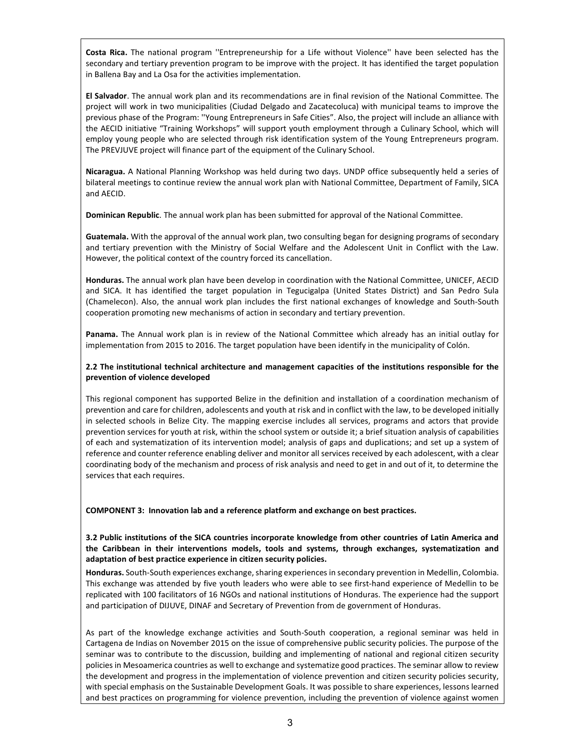Costa Rica. The national program ''Entrepreneurship for a Life without Violence'' have been selected has the secondary and tertiary prevention program to be improve with the project. It has identified the target population in Ballena Bay and La Osa for the activities implementation.

El Salvador. The annual work plan and its recommendations are in final revision of the National Committee. The project will work in two municipalities (Ciudad Delgado and Zacatecoluca) with municipal teams to improve the previous phase of the Program: ''Young Entrepreneurs in Safe Cities". Also, the project will include an alliance with the AECID initiative "Training Workshops" will support youth employment through a Culinary School, which will employ young people who are selected through risk identification system of the Young Entrepreneurs program. The PREVJUVE project will finance part of the equipment of the Culinary School.

Nicaragua. A National Planning Workshop was held during two days. UNDP office subsequently held a series of bilateral meetings to continue review the annual work plan with National Committee, Department of Family, SICA and AECID.

Dominican Republic. The annual work plan has been submitted for approval of the National Committee.

Guatemala. With the approval of the annual work plan, two consulting began for designing programs of secondary and tertiary prevention with the Ministry of Social Welfare and the Adolescent Unit in Conflict with the Law. However, the political context of the country forced its cancellation.

Honduras. The annual work plan have been develop in coordination with the National Committee, UNICEF, AECID and SICA. It has identified the target population in Tegucigalpa (United States District) and San Pedro Sula (Chamelecon). Also, the annual work plan includes the first national exchanges of knowledge and South-South cooperation promoting new mechanisms of action in secondary and tertiary prevention.

Panama. The Annual work plan is in review of the National Committee which already has an initial outlay for implementation from 2015 to 2016. The target population have been identify in the municipality of Colón.

#### 2.2 The institutional technical architecture and management capacities of the institutions responsible for the prevention of violence developed

This regional component has supported Belize in the definition and installation of a coordination mechanism of prevention and care for children, adolescents and youth at risk and in conflict with the law, to be developed initially in selected schools in Belize City. The mapping exercise includes all services, programs and actors that provide prevention services for youth at risk, within the school system or outside it; a brief situation analysis of capabilities of each and systematization of its intervention model; analysis of gaps and duplications; and set up a system of reference and counter reference enabling deliver and monitor all services received by each adolescent, with a clear coordinating body of the mechanism and process of risk analysis and need to get in and out of it, to determine the services that each requires.

COMPONENT 3: Innovation lab and a reference platform and exchange on best practices.

3.2 Public institutions of the SICA countries incorporate knowledge from other countries of Latin America and the Caribbean in their interventions models, tools and systems, through exchanges, systematization and adaptation of best practice experience in citizen security policies.

Honduras. South-South experiences exchange, sharing experiences in secondary prevention in Medellin, Colombia. This exchange was attended by five youth leaders who were able to see first-hand experience of Medellin to be replicated with 100 facilitators of 16 NGOs and national institutions of Honduras. The experience had the support and participation of DIJUVE, DINAF and Secretary of Prevention from de government of Honduras.

As part of the knowledge exchange activities and South-South cooperation, a regional seminar was held in Cartagena de Indias on November 2015 on the issue of comprehensive public security policies. The purpose of the seminar was to contribute to the discussion, building and implementing of national and regional citizen security policies in Mesoamerica countries as well to exchange and systematize good practices. The seminar allow to review the development and progress in the implementation of violence prevention and citizen security policies security, with special emphasis on the Sustainable Development Goals. It was possible to share experiences, lessons learned and best practices on programming for violence prevention, including the prevention of violence against women